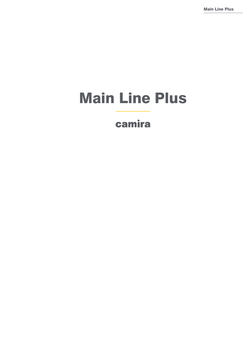# Main Line Plus

# camira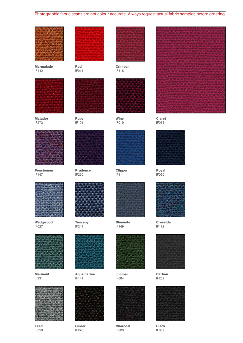# Photographic fabric scans are not colour accurate. Always request actual fabric samples before ordering.



Marmalade IF142



Matador IF272



Penstemon IF147

Wedgwood IF027



Mermaid IF231



Lead IF058



Red IF011



Ruby IF101



Prudence IF250



**Tuscany** IF241



Aquamarine IF141



Girder IF276



Crimson IF116



Wine IF019



Clipper IF111



Bluenote IF149



Juniper IF084



Charcoal IF000



Claret IF033



Royal IF020



IF112



Carbon IF252



Black IF059